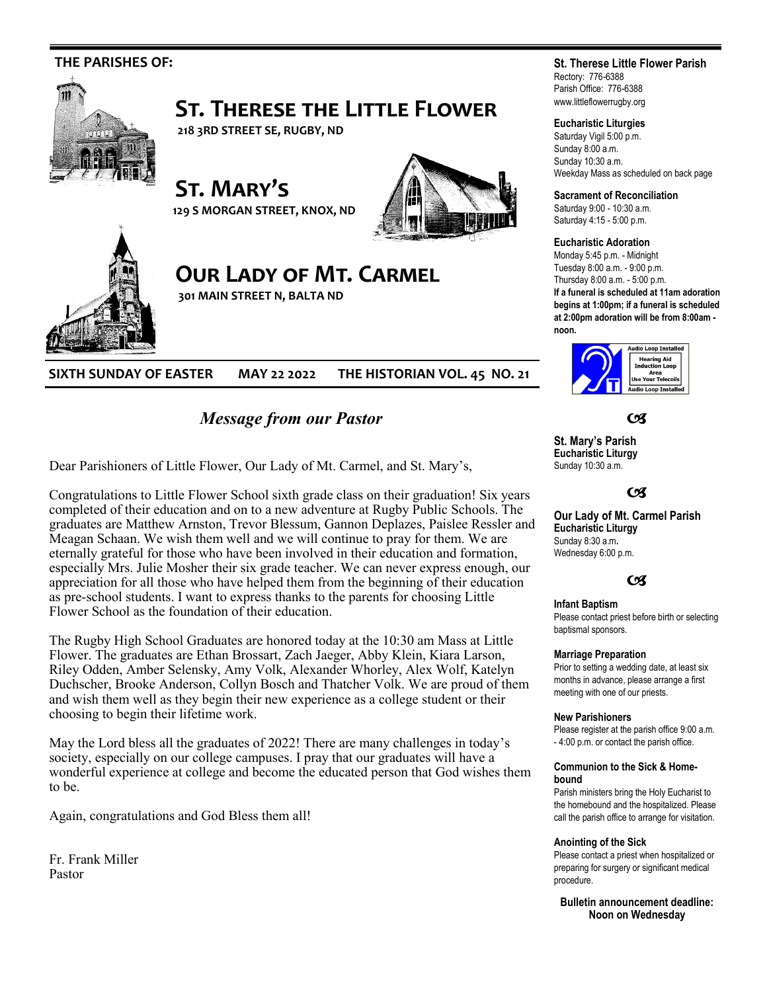

*Message from our Pastor*

Dear Parishioners of Little Flower, Our Lady of Mt. Carmel, and St. Mary's,

Congratulations to Little Flower School sixth grade class on their graduation! Six years completed of their education and on to a new adventure at Rugby Public Schools. The graduates are Matthew Arnston, Trevor Blessum, Gannon Deplazes, Paislee Ressler and Meagan Schaan. We wish them well and we will continue to pray for them. We are eternally grateful for those who have been involved in their education and formation, especially Mrs. Julie Mosher their six grade teacher. We can never express enough, our appreciation for all those who have helped them from the beginning of their education as pre-school students. I want to express thanks to the parents for choosing Little Flower School as the foundation of their education.

The Rugby High School Graduates are honored today at the 10:30 am Mass at Little Flower. The graduates are Ethan Brossart, Zach Jaeger, Abby Klein, Kiara Larson, Riley Odden, Amber Selensky, Amy Volk, Alexander Whorley, Alex Wolf, Katelyn Duchscher, Brooke Anderson, Collyn Bosch and Thatcher Volk. We are proud of them and wish them well as they begin their new experience as a college student or their choosing to begin their lifetime work.

May the Lord bless all the graduates of 2022! There are many challenges in today's society, especially on our college campuses. I pray that our graduates will have a wonderful experience at college and become the educated person that God wishes them to be.

Again, congratulations and God Bless them all!

Fr. Frank Miller Pastor

# **St. Therese Little Flower Parish**

Rectory: 776-6388 Parish Office: 776-6388 www.littleflowerrugby.org

### **Eucharistic Liturgies**

Saturday Vigil 5:00 p.m. Sunday 8:00 a.m. Sunday 10:30 a.m. Weekday Mass as scheduled on back page

**Sacrament of Reconciliation**

Saturday 9:00 - 10:30 a.m. Saturday 4:15 - 5:00 p.m.

#### **Eucharistic Adoration**

Monday 5:45 p.m. - Midnight Tuesday 8:00 a.m. - 9:00 p.m. Thursday 8:00 a.m. - 5:00 p.m. **If a funeral is scheduled at 11am adoration begins at 1:00pm; if a funeral is scheduled at 2:00pm adoration will be from 8:00am -**



**C** 

**St. Mary's Parish Eucharistic Liturgy**  Sunday 10:30 a.m.

### $C<sup>q</sup>$

**Our Lady of Mt. Carmel Parish Eucharistic Liturgy**  Sunday 8:30 a.m**.**  Wednesday 6:00 p.m.

## $C<sub>3</sub>$

#### **Infant Baptism**

Please contact priest before birth or selecting baptismal sponsors.

#### **Marriage Preparation**

Prior to setting a wedding date, at least six months in advance, please arrange a first meeting with one of our priests.

#### **New Parishioners**

Please register at the parish office 9:00 a.m. - 4:00 p.m. or contact the parish office.

#### **Communion to the Sick & Homebound**

Parish ministers bring the Holy Eucharist to the homebound and the hospitalized. Please call the parish office to arrange for visitation.

#### **Anointing of the Sick**

Please contact a priest when hospitalized or preparing for surgery or significant medical procedure.

**Bulletin announcement deadline: Noon on Wednesday**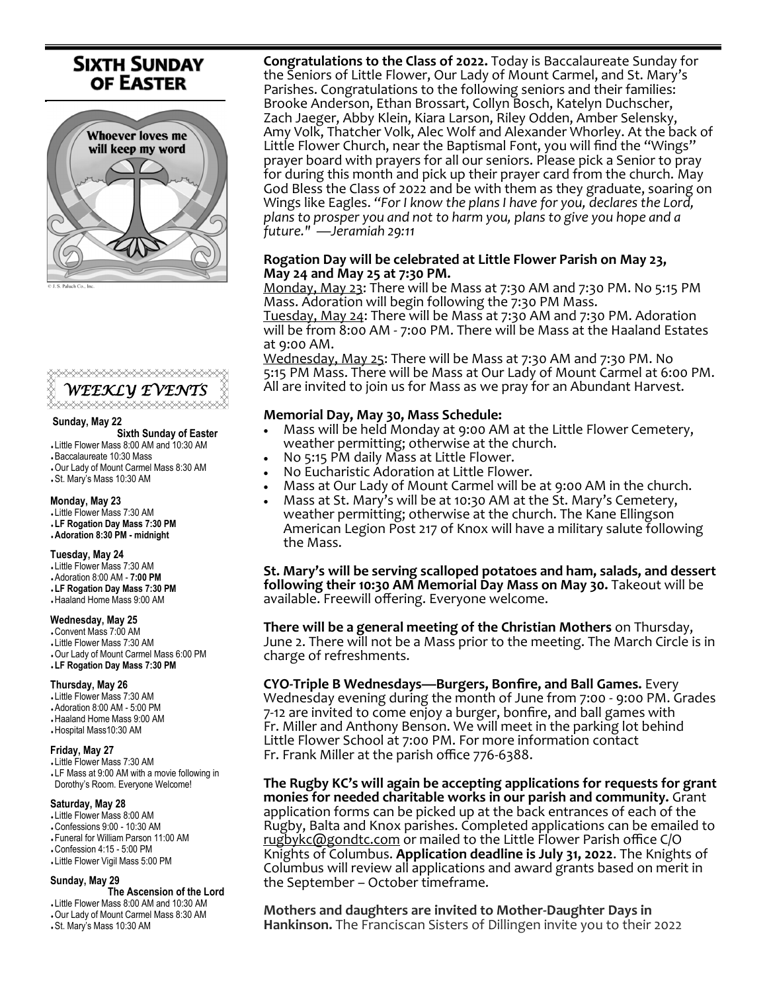# **SIXTH SUNDAY OF EASTER**





#### **Sunday, May 22**

 **Sixth Sunday of Easter** 

- Little Flower Mass 8:00 AM and 10:30 AM
- Baccalaureate 10:30 Mass Our Lady of Mount Carmel Mass 8:30 AM
- St. Mary's Mass 10:30 AM

# **Monday, May 23**

Little Flower Mass 7:30 AM

 **LF Rogation Day Mass 7:30 PM Adoration 8:30 PM - midnight**

### **Tuesday, May 24**

- Little Flower Mass 7:30 AM Adoration 8:00 AM - **7:00 PM**
- **LF Rogation Day Mass 7:30 PM** Haaland Home Mass 9:00 AM

#### **Wednesday, May 25**

 Convent Mass 7:00 AM Little Flower Mass 7:30 AM Our Lady of Mount Carmel Mass 6:00 PM **LF Rogation Day Mass 7:30 PM** 

#### **Thursday, May 26**

 Little Flower Mass 7:30 AM Adoration 8:00 AM - 5:00 PM Haaland Home Mass 9:00 AM

Hospital Mass10:30 AM

#### **Friday, May 27**

 Little Flower Mass 7:30 AM LF Mass at 9:00 AM with a movie following in Dorothy's Room. Everyone Welcome!

#### **Saturday, May 28**

 Little Flower Mass 8:00 AM Confessions 9:00 - 10:30 AM Funeral for William Parson 11:00 AM Confession 4:15 - 5:00 PM Little Flower Vigil Mass 5:00 PM

# **Sunday, May 29**

 **The Ascension of the Lord** 

 Little Flower Mass 8:00 AM and 10:30 AM Our Lady of Mount Carmel Mass 8:30 AM

St. Mary's Mass 10:30 AM

**Congratulations to the Class of 2022.** Today is Baccalaureate Sunday for the Seniors of Little Flower, Our Lady of Mount Carmel, and St. Mary's Parishes. Congratulations to the following seniors and their families: Brooke Anderson, Ethan Brossart, Collyn Bosch, Katelyn Duchscher, Zach Jaeger, Abby Klein, Kiara Larson, Riley Odden, Amber Selensky, Amy Volk, Thatcher Volk, Alec Wolf and Alexander Whorley. At the back of Little Flower Church, near the Baptismal Font, you will find the "Wings" prayer board with prayers for all our seniors. Please pick a Senior to pray for during this month and pick up their prayer card from the church. May God Bless the Class of 2022 and be with them as they graduate, soaring on Wings like Eagles. *"For I know the plans I have for you, declares the Lord, plans to prosper you and not to harm you, plans to give you hope and a future." —Jeramiah 29:11*

# **Rogation Day will be celebrated at Little Flower Parish on May 23, May 24 and May 25 at 7:30 PM.**

Monday, May 23: There will be Mass at 7:30 AM and 7:30 PM. No 5:15 PM Mass. Adoration will begin following the 7:30 PM Mass.

Tuesday, May 24: There will be Mass at 7:30 AM and 7:30 PM. Adoration will be from 8:00 AM - 7:00 PM. There will be Mass at the Haaland Estates at 9:00 AM.

Wednesday, May 25: There will be Mass at 7:30 AM and 7:30 PM. No 5:15 PM Mass. There will be Mass at Our Lady of Mount Carmel at 6:00 PM. All are invited to join us for Mass as we pray for an Abundant Harvest.

# **Memorial Day, May 30, Mass Schedule:**

- Mass will be held Monday at 9:00 AM at the Little Flower Cemetery, weather permitting; otherwise at the church.
- No 5:15 PM daily Mass at Little Flower.
- No Eucharistic Adoration at Little Flower.
- Mass at Our Lady of Mount Carmel will be at 9:00 AM in the church.
- Mass at St. Mary's will be at 10:30 AM at the St. Mary's Cemetery, weather permitting; otherwise at the church. The Kane Ellingson American Legion Post 217 of Knox will have a military salute following the Mass.

**St. Mary's will be serving scalloped potatoes and ham, salads, and dessert following their 10:30 AM Memorial Day Mass on May 30.** Takeout will be available. Freewill offering. Everyone welcome.

**There will be a general meeting of the Christian Mothers** on Thursday, June 2. There will not be a Mass prior to the meeting. The March Circle is in charge of refreshments.

**CYO-Triple B Wednesdays—Burgers, Bonfire, and Ball Games.** Every Wednesday evening during the month of June from 7:00 - 9:00 PM. Grades 7-12 are invited to come enjoy a burger, bonfire, and ball games with Fr. Miller and Anthony Benson. We will meet in the parking lot behind Little Flower School at 7:00 PM. For more information contact Fr. Frank Miller at the parish office 776-6388.

**The Rugby KC's will again be accepting applications for requests for grant monies for needed charitable works in our parish and community.** Grant application forms can be picked up at the back entrances of each of the Rugby, Balta and Knox parishes. Completed applications can be emailed to [rugbykc@gondtc.com](mailto:rugbykc@gondtc.com) or mailed to the Little Flower Parish office C/O Knights of Columbus. **Application deadline is July 31, 2022**. The Knights of Columbus will review all applications and award grants based on merit in the September – October timeframe.

**Mothers and daughters are invited to Mother-Daughter Days in Hankinson.** The Franciscan Sisters of Dillingen invite you to their 2022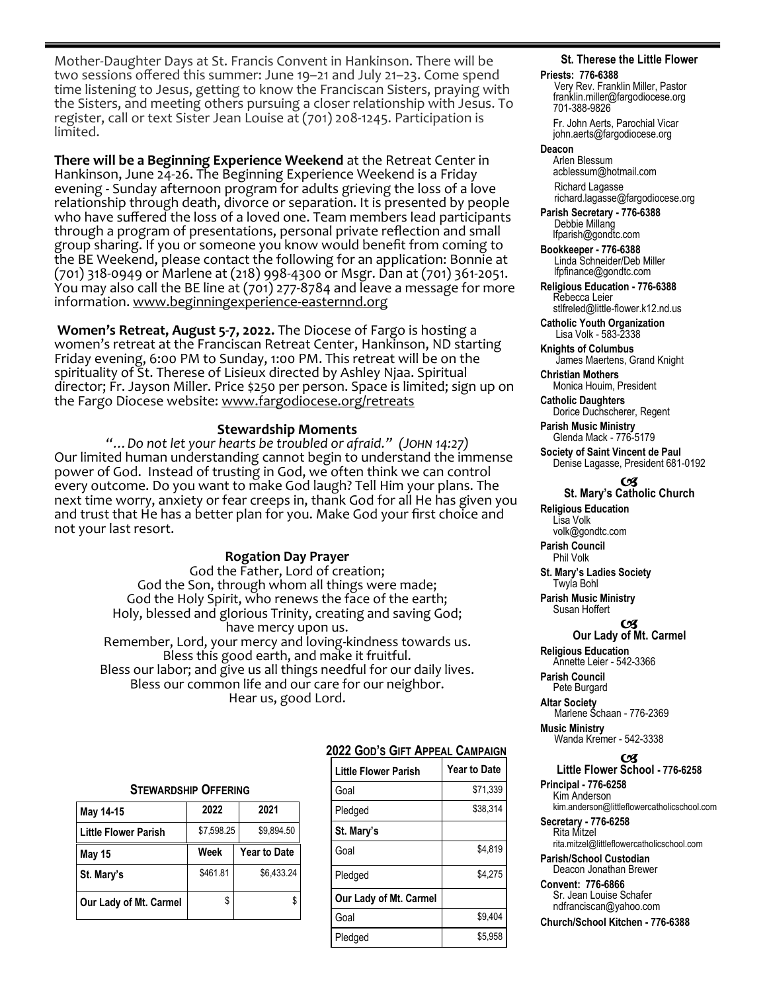Mother-Daughter Days at St. Francis Convent in Hankinson. There will be two sessions offered this summer: June 19–21 and July 21–23. Come spend time listening to Jesus, getting to know the Franciscan Sisters, praying with the Sisters, and meeting others pursuing a closer relationship with Jesus. To register, call or text Sister Jean Louise at (701) 208-1245. Participation is limited.

**There will be a Beginning Experience Weekend** at the Retreat Center in Hankinson, June 24-26. The Beginning Experience Weekend is a Friday evening - Sunday afternoon program for adults grieving the loss of a love relationship through death, divorce or separation. It is presented by people who have suffered the loss of a loved one. Team members lead participants through a program of presentations, personal private reflection and small group sharing. If you or someone you know would benefit from coming to the BE Weekend, please contact the following for an application: Bonnie at (701) 318-0949 or Marlene at (218) 998-4300 or Msgr. Dan at (701) 361-2051. You may also call the BE line at (701) 277-8784 and leave a message for more information. www.beginningexperience-easternnd.org

**Women's Retreat, August 5-7, 2022.** The Diocese of Fargo is hosting a women's retreat at the Franciscan Retreat Center, Hankinson, ND starting Friday evening, 6:00 PM to Sunday, 1:00 PM. This retreat will be on the spirituality of St. Therese of Lisieux directed by Ashley Njaa. Spiritual director; Fr. Jayson Miller. Price \$250 per person. Space is limited; sign up on the Fargo Diocese website: [www.fargodiocese.org/retreats](http://www.fargodiocese.org/retreats)

# **Stewardship Moments**

*"…Do not let your hearts be troubled or afraid." (John 14:27)* Our limited human understanding cannot begin to understand the immense power of God. Instead of trusting in God, we often think we can control every outcome. Do you want to make God laugh? Tell Him your plans. The next time worry, anxiety or fear creeps in, thank God for all He has given you and trust that He has a better plan for you. Make God your first choice and not your last resort.

# **Rogation Day Prayer**

God the Father, Lord of creation; God the Son, through whom all things were made; God the Holy Spirit, who renews the face of the earth; Holy, blessed and glorious Trinity, creating and saving God; have mercy upon us. Remember, Lord, your mercy and loving-kindness towards us. Bless this good earth, and make it fruitful. Bless our labor; and give us all things needful for our daily lives. Bless our common life and our care for our neighbor. Hear us, good Lord.

#### **STEWARDSHIP OFFERING**

| May 14-15                   | 2022       | 2021                |  |
|-----------------------------|------------|---------------------|--|
| <b>Little Flower Parish</b> | \$7,598.25 | \$9,894.50          |  |
| <b>May 15</b>               | Week       | <b>Year to Date</b> |  |
| St. Mary's                  | \$461.81   | \$6.433.24          |  |
| Our Lady of Mt. Carmel      | \$         |                     |  |

# **2022 GOD'S GIFT APPEAL CAMPAIGN**

| <b>Little Flower Parish</b> | <b>Year to Date</b> |
|-----------------------------|---------------------|
| Goal                        | \$71.339            |
| Pledged                     | \$38.314            |
| St. Mary's                  |                     |
| Goal                        | \$4.819             |
| Pledged                     | \$4.275             |
| Our Lady of Mt. Carmel      |                     |
| Goal                        | \$9.404             |
| Pledged                     | \$5.958             |
|                             |                     |

## **St. Therese the Little Flower**

#### **Priests: 776-6388**

Very Rev. Franklin Miller, Pastor franklin.miller@fargodiocese.org 701-388-9826 Fr. John Aerts, Parochial Vicar

 john.aerts@fargodiocese.org **Deacon**

 Arlen Blessum acblessum@hotmail.com Richard Lagasse richard.lagasse@fargodiocese.org

**Parish Secretary - 776-6388** Debbie Millang lfparish@gondtc.com

**Bookkeeper - 776-6388** Linda Schneider/Deb Miller lfpfinance@gondtc.com

**Religious Education - 776-6388** Rebecca Leier [stlfreled@little-flower.k12.nd.us](mailto:stlfreled@little-flower.k12.nd.us) 

**Catholic Youth Organization** Lisa Volk - 583-2338

**Knights of Columbus** James Maertens, Grand Knight

**Christian Mothers** Monica Houim, President

**Catholic Daughters** Dorice Duchscherer, Regent

**Parish Music Ministry** Glenda Mack - 776-5179

**Society of Saint Vincent de Paul** Denise Lagasse, President 681-0192

#### OЯ **St. Mary's Catholic Church**

**Religious Education**  Lisa Volk volk@gondtc.com

**Parish Council**  Phil Volk

**St. Mary's Ladies Society**  Twyla Bohl

**Parish Music Ministry** Susan Hoffert

#### **C Our Lady of Mt. Carmel**

**Religious Education**  Annette Leier - 542-3366

**Parish Council**  Pete Burgard

**Altar Society**  Marlene Schaan - 776-2369 **Music Ministry** Wanda Kremer - 542-3338

#### 6X)

**Little Flower School - 776-6258 Principal - 776-6258**

 Kim Anderson kim.anderson@littleflowercatholicschool.com

**Secretary - 776-6258** Rita Mitzel rita.mitzel@littleflowercatholicschool.com

**Parish/School Custodian** Deacon Jonathan Brewer

**Convent: 776-6866** Sr. Jean Louise Schafer ndfranciscan@yahoo.com

**Church/School Kitchen - 776-6388**